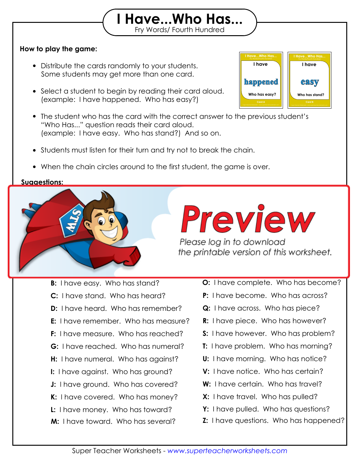### **How to play the game:**

- Distribute the cards randomly to your students. Some students may get more than one card.
- Select a student to begin by reading their card aloud. (example: I have happened. Who has easy?)
- The student who has the card with the correct answer to the previous student's "Who Has..." question reads their card aloud. (example: I have easy. Who has stand?) And so on.

Fry Words/ Fourth Hundred **I Have...Who Has...**

- Students must listen for their turn and try not to break the chain.
- When the chain circles around to the first student, the game is over.

#### **Suggestions:**



## Practice the game once with your students so they understand how the game works,

Please log in to download<br>the printable version of this worksheet.

- **B:** I have easy. Who has stand? **D:** I have heard. Who has remember? **F:** I have measure. Who has reached? **H:** I have numeral. Who has against? **J:** I have ground. Who has covered? **L:** I have money. Who has toward? **M:** I have toward. Who has several? **C:** I have stand. Who has heard? **E:** I have remember. Who has measure? **G:** I have reached. Who has numeral? **I:** I have against. Who has ground? **K:** I have covered. Who has money?
- **O:** I have complete. Who has become?
- **P:** I have become. Who has across?
- **Q:** I have across. Who has piece?
- **R:** I have piece. Who has however?
- **S:** I have however. Who has problem?
- **T:** I have problem. Who has morning?
- **U:** I have morning. Who has notice?
- **V:** I have notice. Who has certain?
- **W:** I have certain. Who has travel?
- **X:** I have travel. Who has pulled?
- **Y:** I have pulled. Who has questions?
- **Z:** I have questions. Who has happened?

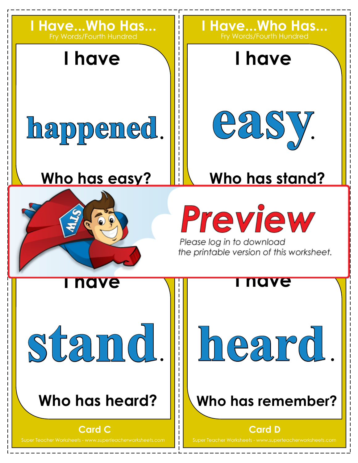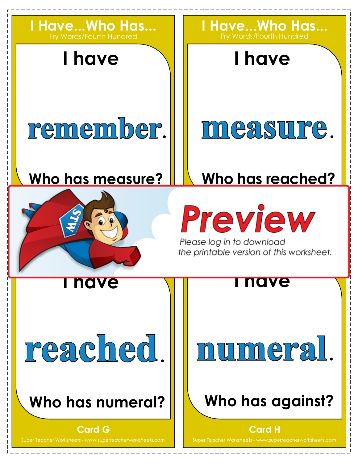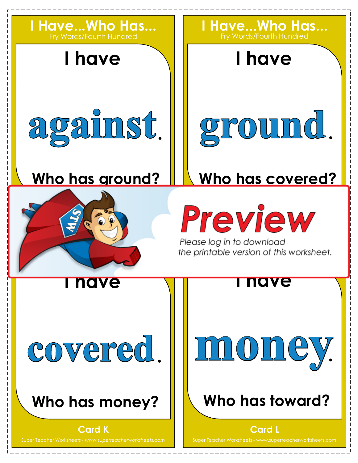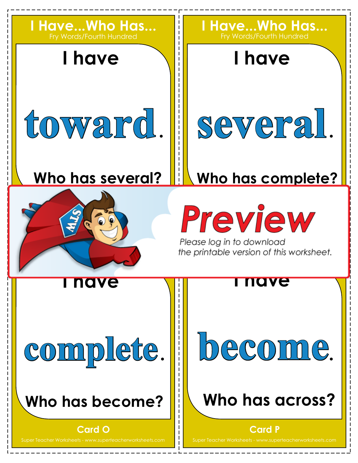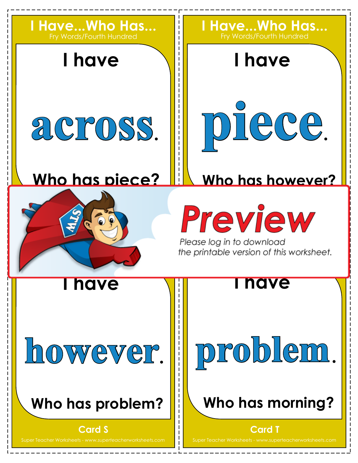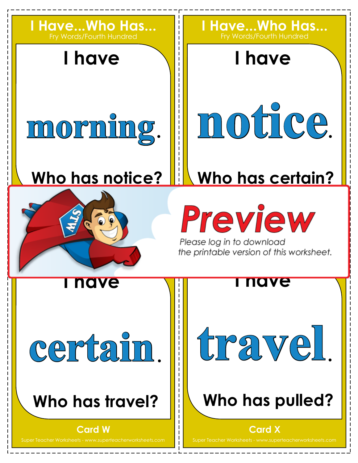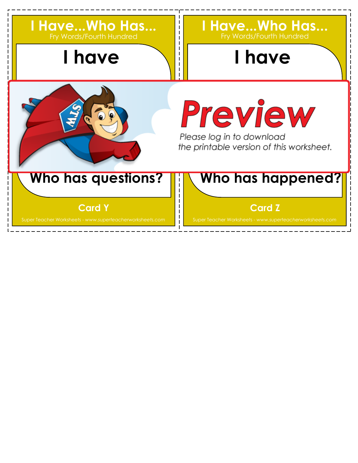